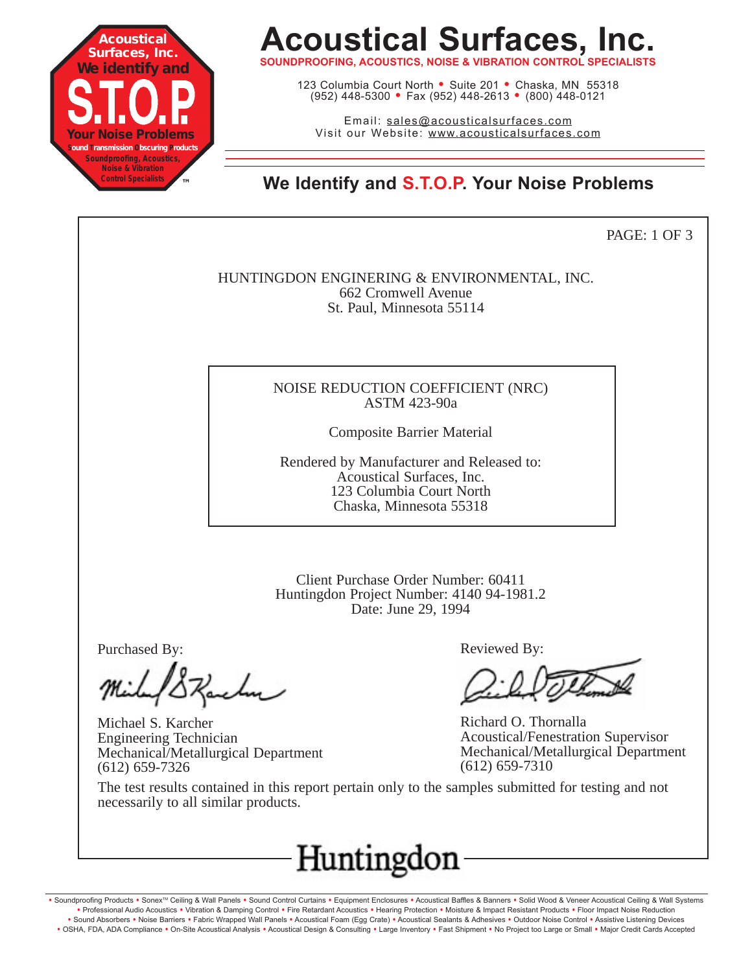

## **Acoustical Surfaces, Inc.**

**SOUNDPROOFING, ACOUSTICS, NOISE & VIBRATION CONTROL SPECIALISTS**

123 Columbia Court North • Suite 201 • Chaska, MN 55318 (952) 448-5300 <sup>=</sup> Fax (952) 448-2613 <sup>=</sup> (800) 448-0121

Email: sales@acousticalsurfaces.com Visit our Website: www.acousticalsurfaces.com

**™ We Identify and S.T.O.P. Your Noise Problems**

PAGE: 1 OF 3

HUNTINGDON ENGINERING & ENVIRONMENTAL, INC. 662 Cromwell Avenue St. Paul, Minnesota 55114

#### NOISE REDUCTION COEFFICIENT (NRC) ASTM 423-90a

Composite Barrier Material

Rendered by Manufacturer and Released to: Acoustical Surfaces, Inc. 123 Columbia Court North Chaska, Minnesota 55318

Client Purchase Order Number: 60411 Huntingdon Project Number: 4140 94-1981.2 Date: June 29, 1994

Purchased By:

Michael S. Karcher Engineering Technician Mechanical/Metallurgical Department (612) 659-7326

Reviewed By:

Richard O. Thornalla Acoustical/Fenestration Supervisor Mechanical/Metallurgical Department (612) 659-7310

The test results contained in this report pertain only to the samples submitted for testing and not necessarily to all similar products.



. Soundproofing Products . Sonex™ Ceiling & Wall Panels . Sound Control Curtains . Equipment Enclosures . Acoustical Baffles & Banners . Solid Wood & Veneer Acoustical Ceiling & Wall Systems **•** Professional Audio Acoustics **•** Vibration & Damping Control **•** Fire Retardant Acoustics **•** Hearing Protection **•** Moisture & Impact Resistant Products **•** Floor Impact Noise Reduction · Sound Absorbers · Noise Barriers · Fabric Wrapped Wall Panels · Acoustical Foam (Egg Crate) · Acoustical Sealants & Adhesives · Outdoor Noise Control · Assistive Listening Devices . OSHA, FDA, ADA Compliance . On-Site Acoustical Analysis . Acoustical Design & Consulting . Large Inventory . Fast Shipment . No Project too Large or Small . Major Credit Cards Accepted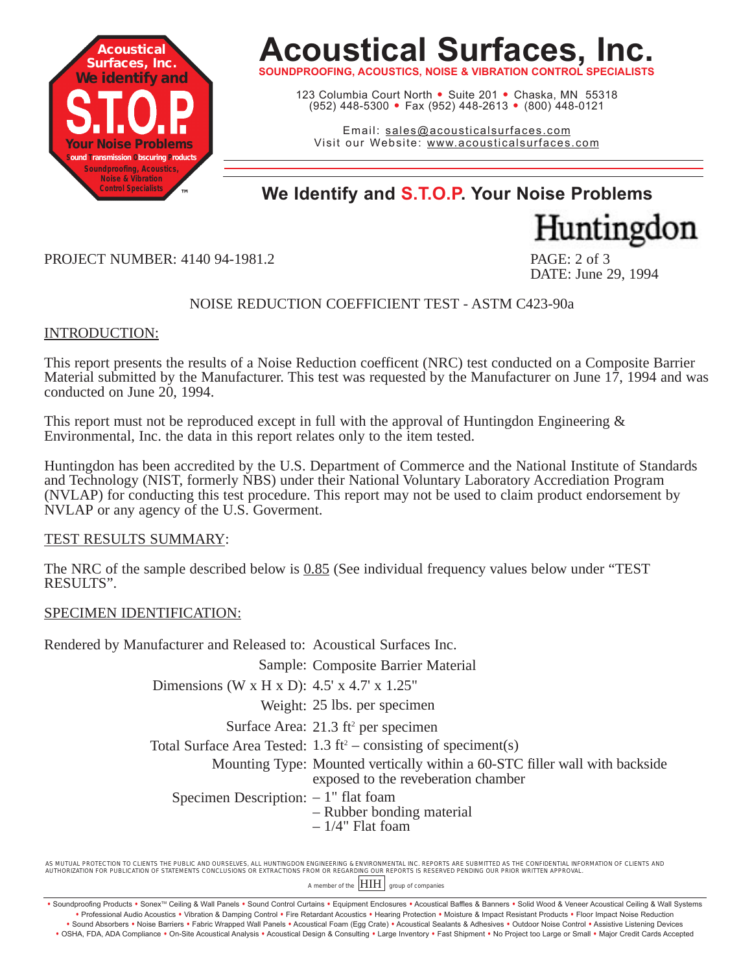

## **Acoustical Surfaces, Inc.**

**SOUNDPROOFING, ACOUSTICS, NOISE & VIBRATION CONTROL SPECIALISTS**

123 Columbia Court North · Suite 201 · Chaska, MN 55318 (952) 448-5300 <sup>=</sup> Fax (952) 448-2613 <sup>=</sup> (800) 448-0121

Email: sales@acousticalsurfaces.com Visit our Website: www.acousticalsurfaces.com

### **™ We Identify and S.T.O.P. Your Noise Problems**

Huntingdon

DATE: June 29, 1994

PROJECT NUMBER: 4140 94-1981.2 PAGE: 2 of 3

#### NOISE REDUCTION COEFFICIENT TEST - ASTM C423-90a

#### INTRODUCTION:

This report presents the results of a Noise Reduction coefficent (NRC) test conducted on a Composite Barrier Material submitted by the Manufacturer. This test was requested by the Manufacturer on June 17, 1994 and was conducted on June 20, 1994.

This report must not be reproduced except in full with the approval of Huntingdon Engineering & Environmental, Inc. the data in this report relates only to the item tested.

Huntingdon has been accredited by the U.S. Department of Commerce and the National Institute of Standards and Technology (NIST, formerly NBS) under their National Voluntary Laboratory Accrediation Program (NVLAP) for conducting this test procedure. This report may not be used to claim product endorsement by NVLAP or any agency of the U.S. Goverment.

TEST RESULTS SUMMARY:

The NRC of the sample described below is 0.85 (See individual frequency values below under "TEST RESULTS".

#### SPECIMEN IDENTIFICATION:

Rendered by Manufacturer and Released to: Acoustical Surfaces Inc.

Sample: Composite Barrier Material

Dimensions (W x H x D): 4.5' x 4.7' x 1.25"

Weight: 25 lbs. per specimen

Surface Area: 21.3 ft<sup>2</sup> per specimen

Total Surface Area Tested:  $1.3 \text{ ft}^2$  – consisting of speciment(s)

Mounting Type: Mounted vertically within a 60-STC filler wall with backside exposed to the reveberation chamber

Specimen Description:  $-1$ " flat foam

- Rubber bonding material
- $-1/4$ " Flat foam

AS MUTUAL PROTECTION TO CLIENTS THE PUBLIC AND OURSELVES, ALL HUNTINGDON ENGINEERING & ENVIRONMENTAL INC. REPORTS ARE SUBMITTED AS THE CONFIDENTIAL INFORMATION OF CLIENTS AND AUTHORIZATION FOR PUBLICATION OF STATEMENTS CONCLUSIONS OR EXTRACTIONS FROM OR REGARDING OUR REPORTS IS RESERVED PENDING OUR PRIOR WRITTEN APPROVAL.

A member of the  $\boxed{\text{HH}}$  group of companies

Soundproofing Products • Sonex™ Ceiling & Wall Panels • Sound Control Curtains • Equipment Enclosures • Acoustical Baffles & Banners • Solid Wood & Veneer Acoustical Ceiling & Wall Systems **•** Professional Audio Acoustics **•** Vibration & Damping Control **•** Fire Retardant Acoustics **•** Hearing Protection **•** Moisture & Impact Resistant Products **•** Floor Impact Noise Reduction · Sound Absorbers · Noise Barriers · Fabric Wrapped Wall Panels · Acoustical Foam (Egg Crate) · Acoustical Sealants & Adhesives · Outdoor Noise Control · Assistive Listening Devices

<sup>.</sup> OSHA, FDA, ADA Compliance . On-Site Acoustical Analysis . Acoustical Design & Consulting . Large Inventory . Fast Shipment . No Project too Large or Small . Major Credit Cards Accepted